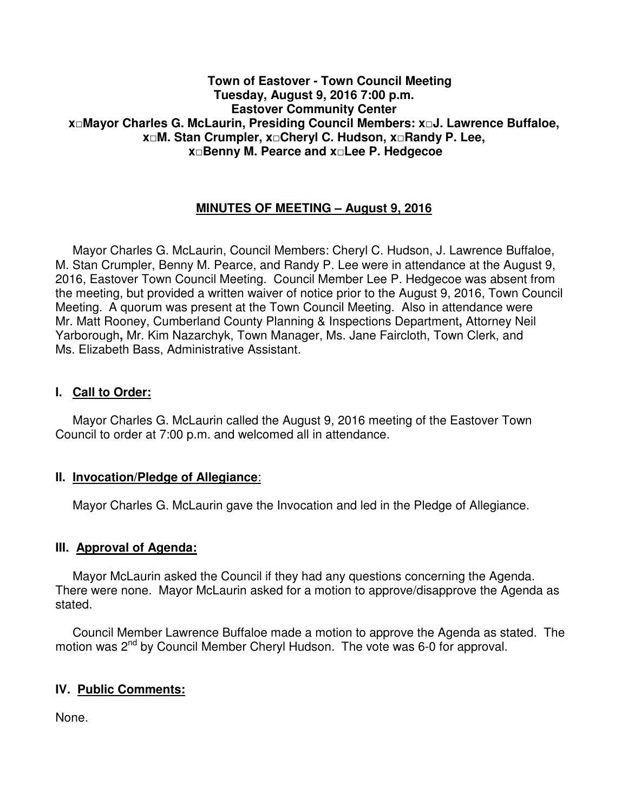#### **Town of Eastover - Town Council Meeting Tuesday, August 9, 2016 7:00 p.m. Eastover Community Center x□Mayor Charles G. McLaurin, Presiding Council Members: x□J. Lawrence Buffaloe, x□M. Stan Crumpler, x□Cheryl C. Hudson, x□Randy P. Lee, x□Benny M. Pearce and x□Lee P. Hedgecoe**

# **MINUTES OF MEETING – August 9, 2016**

 Mayor Charles G. McLaurin, Council Members: Cheryl C. Hudson, J. Lawrence Buffaloe, M. Stan Crumpler, Benny M. Pearce, and Randy P. Lee were in attendance at the August 9, 2016, Eastover Town Council Meeting. Council Member Lee P. Hedgecoe was absent from the meeting, but provided a written waiver of notice prior to the August 9, 2016, Town Council Meeting. A quorum was present at the Town Council Meeting. Also in attendance were Mr. Matt Rooney, Cumberland County Planning & Inspections Department**,** Attorney Neil Yarborough**,** Mr. Kim Nazarchyk, Town Manager, Ms. Jane Faircloth, Town Clerk, and Ms. Elizabeth Bass, Administrative Assistant.

#### **I. Call to Order:**

 Mayor Charles G. McLaurin called the August 9, 2016 meeting of the Eastover Town Council to order at 7:00 p.m. and welcomed all in attendance.

#### **II. Invocation/Pledge of Allegiance**:

Mayor Charles G. McLaurin gave the Invocation and led in the Pledge of Allegiance.

#### **III. Approval of Agenda:**

 Mayor McLaurin asked the Council if they had any questions concerning the Agenda. There were none. Mayor McLaurin asked for a motion to approve/disapprove the Agenda as stated.

 Council Member Lawrence Buffaloe made a motion to approve the Agenda as stated. The motion was 2<sup>nd</sup> by Council Member Cheryl Hudson. The vote was 6-0 for approval.

# **IV. Public Comments:**

None.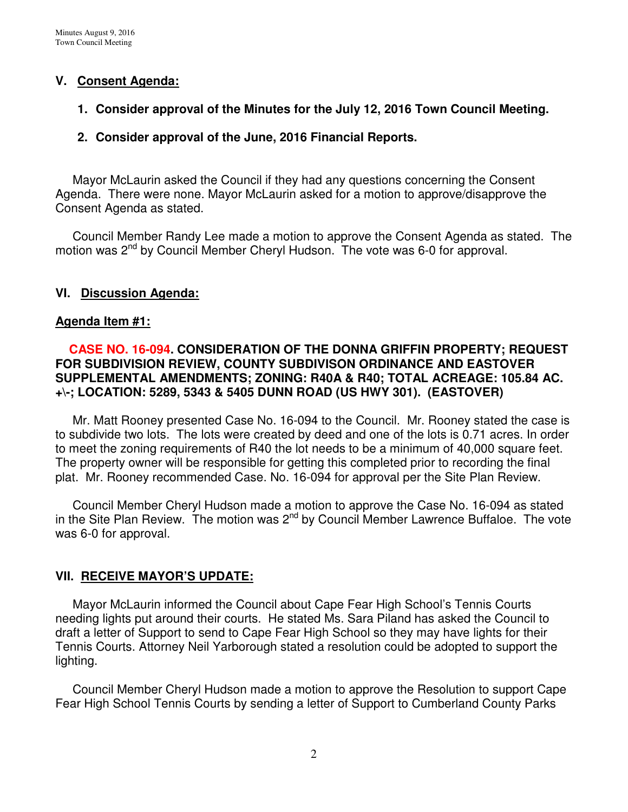# **V. Consent Agenda:**

## **1. Consider approval of the Minutes for the July 12, 2016 Town Council Meeting.**

## **2. Consider approval of the June, 2016 Financial Reports.**

 Mayor McLaurin asked the Council if they had any questions concerning the Consent Agenda. There were none. Mayor McLaurin asked for a motion to approve/disapprove the Consent Agenda as stated.

 Council Member Randy Lee made a motion to approve the Consent Agenda as stated. The motion was 2<sup>nd</sup> by Council Member Cheryl Hudson. The vote was 6-0 for approval.

#### **VI. Discussion Agenda:**

#### **Agenda Item #1:**

# **CASE NO. 16-094. CONSIDERATION OF THE DONNA GRIFFIN PROPERTY; REQUEST FOR SUBDIVISION REVIEW, COUNTY SUBDIVISON ORDINANCE AND EASTOVER**  SUPPLEMENTAL AMENDMENTS; ZONING: R40A & R40; TOTAL ACREAGE: 105.84 AC. **+\-; LOCATION: 5289, 5343 & 5405 DUNN ROAD (US HWY 301). (EASTOVER)**

Mr. Matt Rooney presented Case No. 16-094 to the Council. Mr. Rooney stated the case is to subdivide two lots. The lots were created by deed and one of the lots is 0.71 acres. In order to meet the zoning requirements of R40 the lot needs to be a minimum of 40,000 square feet. The property owner will be responsible for getting this completed prior to recording the final plat. Mr. Rooney recommended Case. No. 16-094 for approval per the Site Plan Review.

Council Member Cheryl Hudson made a motion to approve the Case No. 16-094 as stated in the Site Plan Review. The motion was  $2^{nd}$  by Council Member Lawrence Buffaloe. The vote was 6-0 for approval.

#### **VII. RECEIVE MAYOR'S UPDATE:**

 Mayor McLaurin informed the Council about Cape Fear High School's Tennis Courts needing lights put around their courts. He stated Ms. Sara Piland has asked the Council to draft a letter of Support to send to Cape Fear High School so they may have lights for their Tennis Courts. Attorney Neil Yarborough stated a resolution could be adopted to support the lighting.

 Council Member Cheryl Hudson made a motion to approve the Resolution to support Cape Fear High School Tennis Courts by sending a letter of Support to Cumberland County Parks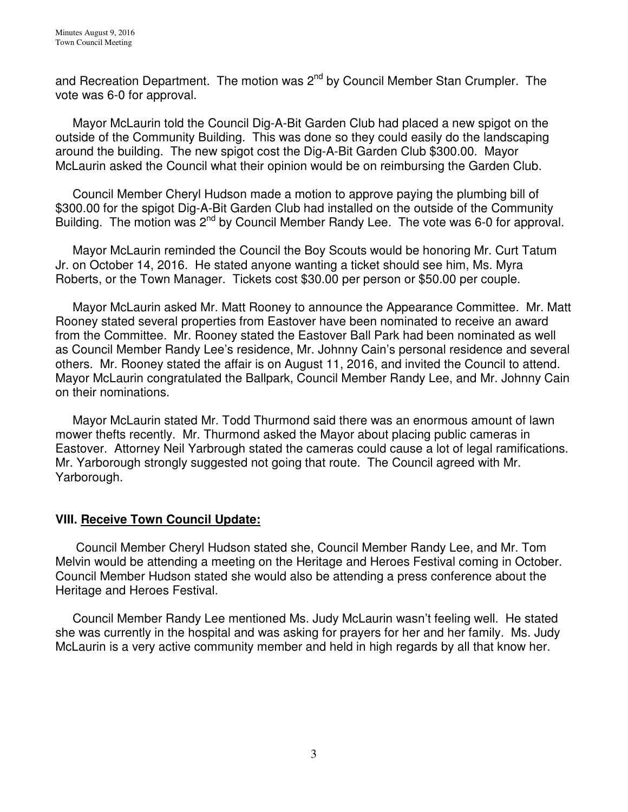and Recreation Department. The motion was  $2^{nd}$  by Council Member Stan Crumpler. The vote was 6-0 for approval.

 Mayor McLaurin told the Council Dig-A-Bit Garden Club had placed a new spigot on the outside of the Community Building. This was done so they could easily do the landscaping around the building. The new spigot cost the Dig-A-Bit Garden Club \$300.00. Mayor McLaurin asked the Council what their opinion would be on reimbursing the Garden Club.

 Council Member Cheryl Hudson made a motion to approve paying the plumbing bill of \$300.00 for the spigot Dig-A-Bit Garden Club had installed on the outside of the Community Building. The motion was 2<sup>nd</sup> by Council Member Randy Lee. The vote was 6-0 for approval.

 Mayor McLaurin reminded the Council the Boy Scouts would be honoring Mr. Curt Tatum Jr. on October 14, 2016. He stated anyone wanting a ticket should see him, Ms. Myra Roberts, or the Town Manager. Tickets cost \$30.00 per person or \$50.00 per couple.

 Mayor McLaurin asked Mr. Matt Rooney to announce the Appearance Committee. Mr. Matt Rooney stated several properties from Eastover have been nominated to receive an award from the Committee. Mr. Rooney stated the Eastover Ball Park had been nominated as well as Council Member Randy Lee's residence, Mr. Johnny Cain's personal residence and several others. Mr. Rooney stated the affair is on August 11, 2016, and invited the Council to attend. Mayor McLaurin congratulated the Ballpark, Council Member Randy Lee, and Mr. Johnny Cain on their nominations.

 Mayor McLaurin stated Mr. Todd Thurmond said there was an enormous amount of lawn mower thefts recently. Mr. Thurmond asked the Mayor about placing public cameras in Eastover. Attorney Neil Yarbrough stated the cameras could cause a lot of legal ramifications. Mr. Yarborough strongly suggested not going that route. The Council agreed with Mr. Yarborough.

# **VIII. Receive Town Council Update:**

 Council Member Cheryl Hudson stated she, Council Member Randy Lee, and Mr. Tom Melvin would be attending a meeting on the Heritage and Heroes Festival coming in October. Council Member Hudson stated she would also be attending a press conference about the Heritage and Heroes Festival.

 Council Member Randy Lee mentioned Ms. Judy McLaurin wasn't feeling well. He stated she was currently in the hospital and was asking for prayers for her and her family. Ms. Judy McLaurin is a very active community member and held in high regards by all that know her.